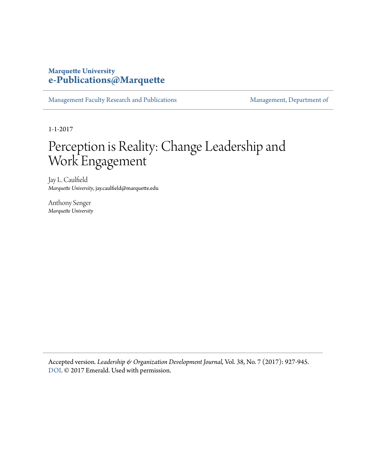# **Marquette University [e-Publications@Marquette](https://epublications.marquette.edu)**

[Management Faculty Research and Publications](https://epublications.marquette.edu/mgmt_fac) [Management, Department of](https://epublications.marquette.edu/mgmt)

1-1-2017

# Perception is Reality: Change Leadership and Work Engagement

Jay L. Caulfield *Marquette University*, jay.caulfield@marquette.edu

Anthony Senger *Marquette University*

Accepted version*. Leadership & Organization Development Journal,* Vol. 38, No. 7 (2017): 927-945. [DOI](http://dx.doi.org/10.1108/LODJ-07-2016-0166). © 2017 Emerald. Used with permission.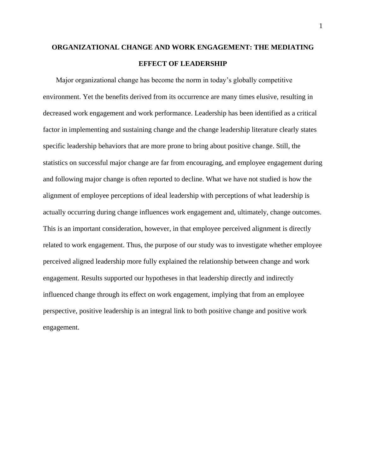# **ORGANIZATIONAL CHANGE AND WORK ENGAGEMENT: THE MEDIATING EFFECT OF LEADERSHIP**

Major organizational change has become the norm in today's globally competitive environment. Yet the benefits derived from its occurrence are many times elusive, resulting in decreased work engagement and work performance. Leadership has been identified as a critical factor in implementing and sustaining change and the change leadership literature clearly states specific leadership behaviors that are more prone to bring about positive change. Still, the statistics on successful major change are far from encouraging, and employee engagement during and following major change is often reported to decline. What we have not studied is how the alignment of employee perceptions of ideal leadership with perceptions of what leadership is actually occurring during change influences work engagement and, ultimately, change outcomes. This is an important consideration, however, in that employee perceived alignment is directly related to work engagement. Thus, the purpose of our study was to investigate whether employee perceived aligned leadership more fully explained the relationship between change and work engagement. Results supported our hypotheses in that leadership directly and indirectly influenced change through its effect on work engagement, implying that from an employee perspective, positive leadership is an integral link to both positive change and positive work engagement.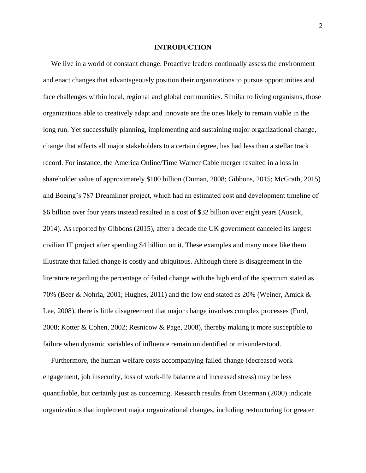#### **INTRODUCTION**

We live in a world of constant change. Proactive leaders continually assess the environment and enact changes that advantageously position their organizations to pursue opportunities and face challenges within local, regional and global communities. Similar to living organisms, those organizations able to creatively adapt and innovate are the ones likely to remain viable in the long run. Yet successfully planning, implementing and sustaining major organizational change, change that affects all major stakeholders to a certain degree, has had less than a stellar track record. For instance, the America Online/Time Warner Cable merger resulted in a loss in shareholder value of approximately \$100 billion (Duman, 2008; Gibbons, 2015; McGrath, 2015) and Boeing's 787 Dreamliner project, which had an estimated cost and development timeline of \$6 billion over four years instead resulted in a cost of \$32 billion over eight years (Ausick, 2014). As reported by Gibbons (2015), after a decade the UK government canceled its largest civilian IT project after spending \$4 billion on it. These examples and many more like them illustrate that failed change is costly and ubiquitous. Although there is disagreement in the literature regarding the percentage of failed change with the high end of the spectrum stated as 70% (Beer & Nohria, 2001; Hughes, 2011) and the low end stated as 20% (Weiner, Amick & Lee, 2008), there is little disagreement that major change involves complex processes (Ford, 2008; Kotter & Cohen, 2002; Resnicow & Page, 2008), thereby making it more susceptible to failure when dynamic variables of influence remain unidentified or misunderstood.

Furthermore, the human welfare costs accompanying failed change (decreased work engagement, job insecurity, loss of work-life balance and increased stress) may be less quantifiable, but certainly just as concerning. Research results from Osterman (2000) indicate organizations that implement major organizational changes, including restructuring for greater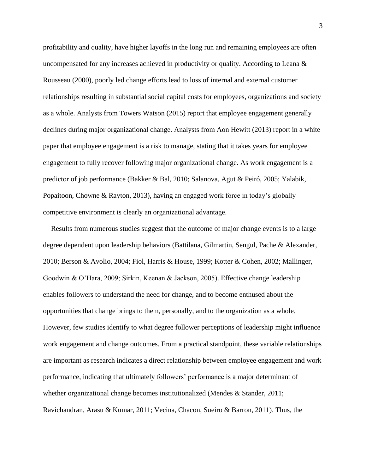profitability and quality, have higher layoffs in the long run and remaining employees are often uncompensated for any increases achieved in productivity or quality. According to Leana & Rousseau (2000), poorly led change efforts lead to loss of internal and external customer relationships resulting in substantial social capital costs for employees, organizations and society as a whole. Analysts from Towers Watson (2015) report that employee engagement generally declines during major organizational change. Analysts from Aon Hewitt (2013) report in a white paper that employee engagement is a risk to manage, stating that it takes years for employee engagement to fully recover following major organizational change. As work engagement is a predictor of job performance (Bakker & Bal, 2010; Salanova, Agut & Peiró, 2005; Yalabik, Popaitoon, Chowne & Rayton, 2013), having an engaged work force in today's globally competitive environment is clearly an organizational advantage.

Results from numerous studies suggest that the outcome of major change events is to a large degree dependent upon leadership behaviors (Battilana, Gilmartin, Sengul, Pache & Alexander, 2010; Berson & Avolio, 2004; Fiol, Harris & House, 1999; Kotter & Cohen, 2002; Mallinger, Goodwin & O'Hara, 2009; Sirkin, Keenan & Jackson, 2005). Effective change leadership enables followers to understand the need for change, and to become enthused about the opportunities that change brings to them, personally, and to the organization as a whole. However, few studies identify to what degree follower perceptions of leadership might influence work engagement and change outcomes. From a practical standpoint, these variable relationships are important as research indicates a direct relationship between employee engagement and work performance, indicating that ultimately followers' performance is a major determinant of whether organizational change becomes institutionalized (Mendes & Stander, 2011; Ravichandran, Arasu & Kumar, 2011; Vecina, Chacon, Sueiro & Barron, 2011). Thus, the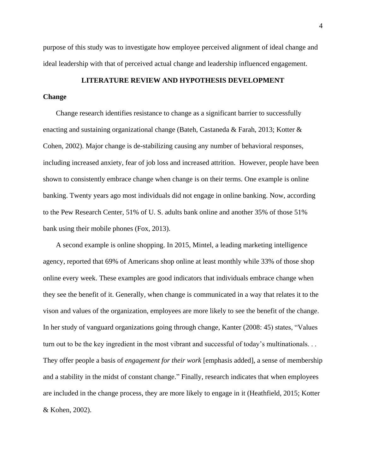purpose of this study was to investigate how employee perceived alignment of ideal change and ideal leadership with that of perceived actual change and leadership influenced engagement.

# **LITERATURE REVIEW AND HYPOTHESIS DEVELOPMENT**

# **Change**

Change research identifies resistance to change as a significant barrier to successfully enacting and sustaining organizational change (Bateh, Castaneda & Farah, 2013; Kotter & Cohen, 2002). Major change is de-stabilizing causing any number of behavioral responses, including increased anxiety, fear of job loss and increased attrition. However, people have been shown to consistently embrace change when change is on their terms. One example is online banking. Twenty years ago most individuals did not engage in online banking. Now, according to the Pew Research Center, 51% of U. S. adults bank online and another 35% of those 51% bank using their mobile phones (Fox, 2013).

A second example is online shopping. In 2015, Mintel, a leading marketing intelligence agency, reported that 69% of Americans shop online at least monthly while 33% of those shop online every week. These examples are good indicators that individuals embrace change when they see the benefit of it. Generally, when change is communicated in a way that relates it to the vison and values of the organization, employees are more likely to see the benefit of the change. In her study of vanguard organizations going through change, Kanter (2008: 45) states, "Values turn out to be the key ingredient in the most vibrant and successful of today's multinationals. . . They offer people a basis of *engagement for their work* [emphasis added], a sense of membership and a stability in the midst of constant change." Finally, research indicates that when employees are included in the change process, they are more likely to engage in it (Heathfield, 2015; Kotter & Kohen, 2002).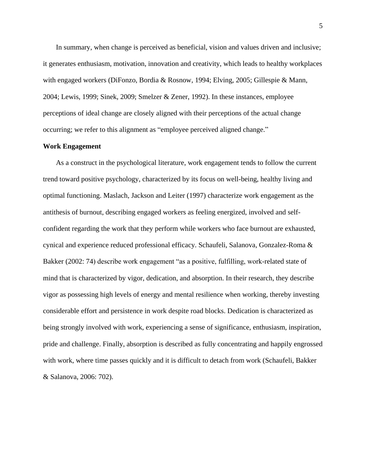In summary, when change is perceived as beneficial, vision and values driven and inclusive; it generates enthusiasm, motivation, innovation and creativity, which leads to healthy workplaces with engaged workers (DiFonzo, Bordia & Rosnow, 1994; Elving, 2005; Gillespie & Mann, 2004; Lewis, 1999; Sinek, 2009; Smelzer & Zener, 1992). In these instances, employee perceptions of ideal change are closely aligned with their perceptions of the actual change occurring; we refer to this alignment as "employee perceived aligned change."

# **Work Engagement**

As a construct in the psychological literature, work engagement tends to follow the current trend toward positive psychology, characterized by its focus on well-being, healthy living and optimal functioning. Maslach, Jackson and Leiter (1997) characterize work engagement as the antithesis of burnout, describing engaged workers as feeling energized, involved and selfconfident regarding the work that they perform while workers who face burnout are exhausted, cynical and experience reduced professional efficacy. Schaufeli, Salanova, Gonzalez-Roma & Bakker (2002: 74) describe work engagement "as a positive, fulfilling, work-related state of mind that is characterized by vigor, dedication, and absorption. In their research, they describe vigor as possessing high levels of energy and mental resilience when working, thereby investing considerable effort and persistence in work despite road blocks. Dedication is characterized as being strongly involved with work, experiencing a sense of significance, enthusiasm, inspiration, pride and challenge. Finally, absorption is described as fully concentrating and happily engrossed with work, where time passes quickly and it is difficult to detach from work (Schaufeli, Bakker & Salanova, 2006: 702).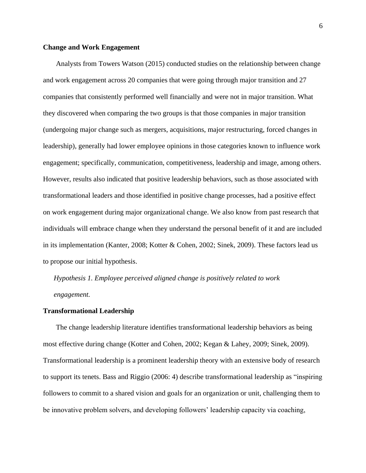#### **Change and Work Engagement**

Analysts from Towers Watson (2015) conducted studies on the relationship between change and work engagement across 20 companies that were going through major transition and 27 companies that consistently performed well financially and were not in major transition. What they discovered when comparing the two groups is that those companies in major transition (undergoing major change such as mergers, acquisitions, major restructuring, forced changes in leadership), generally had lower employee opinions in those categories known to influence work engagement; specifically, communication, competitiveness, leadership and image, among others. However, results also indicated that positive leadership behaviors, such as those associated with transformational leaders and those identified in positive change processes, had a positive effect on work engagement during major organizational change. We also know from past research that individuals will embrace change when they understand the personal benefit of it and are included in its implementation (Kanter, 2008; Kotter & Cohen, 2002; Sinek, 2009). These factors lead us to propose our initial hypothesis.

*Hypothesis 1. Employee perceived aligned change is positively related to work engagement.* 

# **Transformational Leadership**

The change leadership literature identifies transformational leadership behaviors as being most effective during change (Kotter and Cohen, 2002; Kegan & Lahey, 2009; Sinek, 2009). Transformational leadership is a prominent leadership theory with an extensive body of research to support its tenets. Bass and Riggio (2006: 4) describe transformational leadership as "inspiring followers to commit to a shared vision and goals for an organization or unit, challenging them to be innovative problem solvers, and developing followers' leadership capacity via coaching,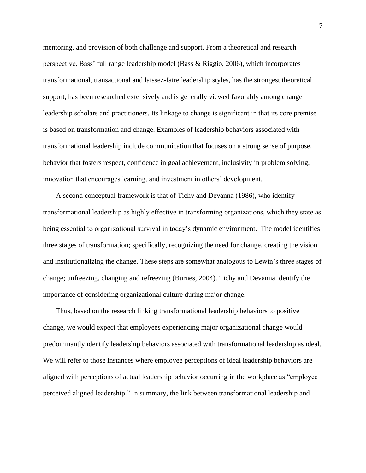mentoring, and provision of both challenge and support. From a theoretical and research perspective, Bass' full range leadership model (Bass & Riggio, 2006), which incorporates transformational, transactional and laissez-faire leadership styles, has the strongest theoretical support, has been researched extensively and is generally viewed favorably among change leadership scholars and practitioners. Its linkage to change is significant in that its core premise is based on transformation and change. Examples of leadership behaviors associated with transformational leadership include communication that focuses on a strong sense of purpose, behavior that fosters respect, confidence in goal achievement, inclusivity in problem solving, innovation that encourages learning, and investment in others' development.

A second conceptual framework is that of Tichy and Devanna (1986), who identify transformational leadership as highly effective in transforming organizations, which they state as being essential to organizational survival in today's dynamic environment. The model identifies three stages of transformation; specifically, recognizing the need for change, creating the vision and institutionalizing the change. These steps are somewhat analogous to Lewin's three stages of change; unfreezing, changing and refreezing (Burnes, 2004). Tichy and Devanna identify the importance of considering organizational culture during major change.

Thus, based on the research linking transformational leadership behaviors to positive change, we would expect that employees experiencing major organizational change would predominantly identify leadership behaviors associated with transformational leadership as ideal. We will refer to those instances where employee perceptions of ideal leadership behaviors are aligned with perceptions of actual leadership behavior occurring in the workplace as "employee perceived aligned leadership." In summary, the link between transformational leadership and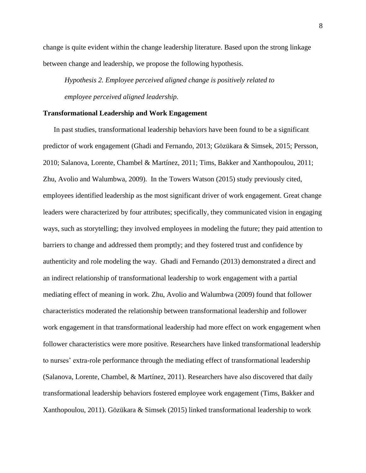change is quite evident within the change leadership literature. Based upon the strong linkage between change and leadership, we propose the following hypothesis.

*Hypothesis 2. Employee perceived aligned change is positively related to employee perceived aligned leadership.*

# **Transformational Leadership and Work Engagement**

In past studies, transformational leadership behaviors have been found to be a significant predictor of work engagement (Ghadi and Fernando, 2013; Gözükara & Simsek, 2015; Persson, 2010; Salanova, Lorente, Chambel & Martínez, 2011; Tims, Bakker and Xanthopoulou, 2011; Zhu, Avolio and Walumbwa, 2009). In the Towers Watson (2015) study previously cited, employees identified leadership as the most significant driver of work engagement. Great change leaders were characterized by four attributes; specifically, they communicated vision in engaging ways, such as storytelling; they involved employees in modeling the future; they paid attention to barriers to change and addressed them promptly; and they fostered trust and confidence by authenticity and role modeling the way. Ghadi and Fernando (2013) demonstrated a direct and an indirect relationship of transformational leadership to work engagement with a partial mediating effect of meaning in work. Zhu, Avolio and Walumbwa (2009) found that follower characteristics moderated the relationship between transformational leadership and follower work engagement in that transformational leadership had more effect on work engagement when follower characteristics were more positive. Researchers have linked transformational leadership to nurses' extra-role performance through the mediating effect of transformational leadership (Salanova, Lorente, Chambel, & Martínez, 2011). Researchers have also discovered that daily transformational leadership behaviors fostered employee work engagement (Tims, Bakker and Xanthopoulou, 2011). Gözükara & Simsek (2015) linked transformational leadership to work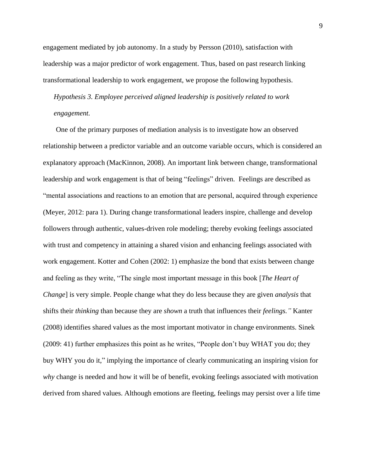engagement mediated by job autonomy. In a study by Persson (2010), satisfaction with leadership was a major predictor of work engagement. Thus, based on past research linking transformational leadership to work engagement, we propose the following hypothesis.

*Hypothesis 3. Employee perceived aligned leadership is positively related to work engagement.* 

One of the primary purposes of mediation analysis is to investigate how an observed relationship between a predictor variable and an outcome variable occurs, which is considered an explanatory approach (MacKinnon, 2008). An important link between change, transformational leadership and work engagement is that of being "feelings" driven. Feelings are described as "mental associations and reactions to an emotion that are personal, acquired through experience (Meyer, 2012: para 1). During change transformational leaders inspire, challenge and develop followers through authentic, values-driven role modeling; thereby evoking feelings associated with trust and competency in attaining a shared vision and enhancing feelings associated with work engagement. Kotter and Cohen (2002: 1) emphasize the bond that exists between change and feeling as they write, "The single most important message in this book [*The Heart of Change*] is very simple. People change what they do less because they are given *analysis* that shifts their *thinking* than because they are *shown* a truth that influences their *feelings."* Kanter (2008) identifies shared values as the most important motivator in change environments. Sinek (2009: 41) further emphasizes this point as he writes, "People don't buy WHAT you do; they buy WHY you do it," implying the importance of clearly communicating an inspiring vision for *why* change is needed and how it will be of benefit, evoking feelings associated with motivation derived from shared values. Although emotions are fleeting, feelings may persist over a life time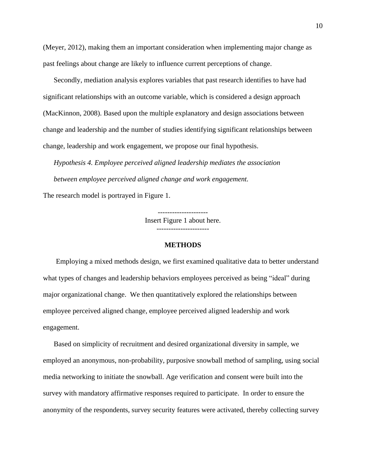(Meyer, 2012), making them an important consideration when implementing major change as past feelings about change are likely to influence current perceptions of change.

Secondly, mediation analysis explores variables that past research identifies to have had significant relationships with an outcome variable, which is considered a design approach (MacKinnon, 2008). Based upon the multiple explanatory and design associations between change and leadership and the number of studies identifying significant relationships between change, leadership and work engagement, we propose our final hypothesis.

*Hypothesis 4. Employee perceived aligned leadership mediates the association between employee perceived aligned change and work engagement.*

The research model is portrayed in Figure 1.

--------------------- Insert Figure 1 about here.

----------------------

### **METHODS**

Employing a mixed methods design, we first examined qualitative data to better understand what types of changes and leadership behaviors employees perceived as being "ideal" during major organizational change. We then quantitatively explored the relationships between employee perceived aligned change, employee perceived aligned leadership and work engagement.

Based on simplicity of recruitment and desired organizational diversity in sample, we employed an anonymous, non-probability, purposive snowball method of sampling, using social media networking to initiate the snowball. Age verification and consent were built into the survey with mandatory affirmative responses required to participate. In order to ensure the anonymity of the respondents, survey security features were activated, thereby collecting survey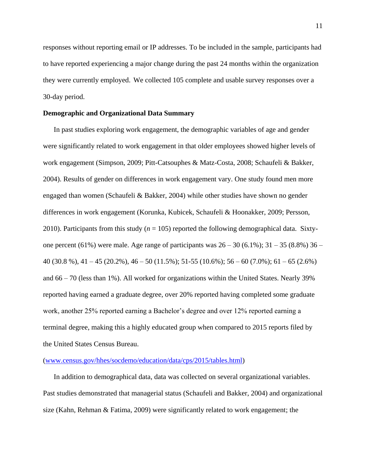responses without reporting email or IP addresses. To be included in the sample, participants had to have reported experiencing a major change during the past 24 months within the organization they were currently employed. We collected 105 complete and usable survey responses over a 30-day period.

# **Demographic and Organizational Data Summary**

In past studies exploring work engagement, the demographic variables of age and gender were significantly related to work engagement in that older employees showed higher levels of work engagement (Simpson, 2009; Pitt-Catsouphes & Matz-Costa, 2008; Schaufeli & Bakker, 2004). Results of gender on differences in work engagement vary. One study found men more engaged than women (Schaufeli & Bakker, 2004) while other studies have shown no gender differences in work engagement (Korunka, Kubicek, Schaufeli & Hoonakker, 2009; Persson, 2010). Participants from this study  $(n = 105)$  reported the following demographical data. Sixtyone percent (61%) were male. Age range of participants was  $26 - 30$  (6.1%);  $31 - 35$  (8.8%)  $36 -$ 40 (30.8 %), 41 – 45 (20.2%), 46 – 50 (11.5%); 51-55 (10.6%); 56 – 60 (7.0%); 61 – 65 (2.6%) and 66 – 70 (less than 1%). All worked for organizations within the United States. Nearly 39% reported having earned a graduate degree, over 20% reported having completed some graduate work, another 25% reported earning a Bachelor's degree and over 12% reported earning a terminal degree, making this a highly educated group when compared to 2015 reports filed by the United States Census Bureau.

#### [\(www.census.gov/hhes/socdemo/education/data/cps/2015/tables.html\)](http://www.census.gov/hhes/socdemo/education/data/cps/2015/tables.html)

In addition to demographical data, data was collected on several organizational variables. Past studies demonstrated that managerial status (Schaufeli and Bakker, 2004) and organizational size (Kahn, Rehman & Fatima, 2009) were significantly related to work engagement; the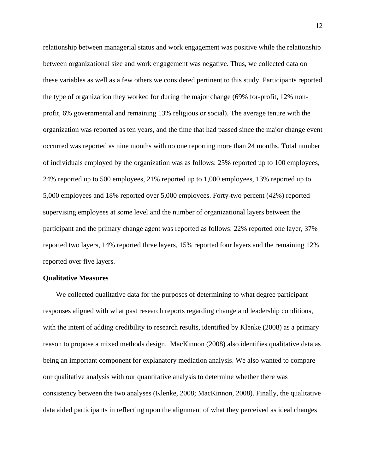relationship between managerial status and work engagement was positive while the relationship between organizational size and work engagement was negative. Thus, we collected data on these variables as well as a few others we considered pertinent to this study. Participants reported the type of organization they worked for during the major change (69% for-profit, 12% nonprofit, 6% governmental and remaining 13% religious or social). The average tenure with the organization was reported as ten years, and the time that had passed since the major change event occurred was reported as nine months with no one reporting more than 24 months. Total number of individuals employed by the organization was as follows: 25% reported up to 100 employees, 24% reported up to 500 employees, 21% reported up to 1,000 employees, 13% reported up to 5,000 employees and 18% reported over 5,000 employees. Forty-two percent (42%) reported supervising employees at some level and the number of organizational layers between the participant and the primary change agent was reported as follows: 22% reported one layer, 37% reported two layers, 14% reported three layers, 15% reported four layers and the remaining 12% reported over five layers.

# **Qualitative Measures**

We collected qualitative data for the purposes of determining to what degree participant responses aligned with what past research reports regarding change and leadership conditions, with the intent of adding credibility to research results, identified by Klenke (2008) as a primary reason to propose a mixed methods design. MacKinnon (2008) also identifies qualitative data as being an important component for explanatory mediation analysis. We also wanted to compare our qualitative analysis with our quantitative analysis to determine whether there was consistency between the two analyses (Klenke, 2008; MacKinnon, 2008). Finally, the qualitative data aided participants in reflecting upon the alignment of what they perceived as ideal changes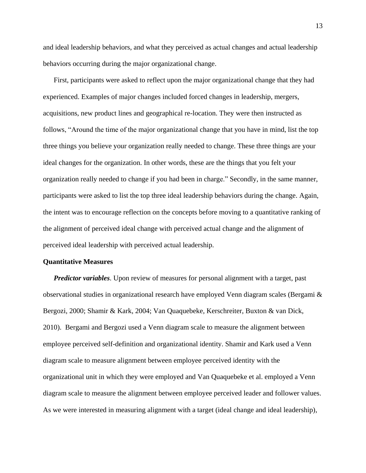and ideal leadership behaviors, and what they perceived as actual changes and actual leadership behaviors occurring during the major organizational change.

First, participants were asked to reflect upon the major organizational change that they had experienced. Examples of major changes included forced changes in leadership, mergers, acquisitions, new product lines and geographical re-location. They were then instructed as follows, "Around the time of the major organizational change that you have in mind, list the top three things you believe your organization really needed to change. These three things are your ideal changes for the organization. In other words, these are the things that you felt your organization really needed to change if you had been in charge." Secondly, in the same manner, participants were asked to list the top three ideal leadership behaviors during the change. Again, the intent was to encourage reflection on the concepts before moving to a quantitative ranking of the alignment of perceived ideal change with perceived actual change and the alignment of perceived ideal leadership with perceived actual leadership.

#### **Quantitative Measures**

*Predictor variables*. Upon review of measures for personal alignment with a target, past observational studies in organizational research have employed Venn diagram scales (Bergami & Bergozi, 2000; Shamir & Kark, 2004; Van Quaquebeke, Kerschreiter, Buxton & van Dick, 2010). Bergami and Bergozi used a Venn diagram scale to measure the alignment between employee perceived self-definition and organizational identity. Shamir and Kark used a Venn diagram scale to measure alignment between employee perceived identity with the organizational unit in which they were employed and Van Quaquebeke et al. employed a Venn diagram scale to measure the alignment between employee perceived leader and follower values. As we were interested in measuring alignment with a target (ideal change and ideal leadership),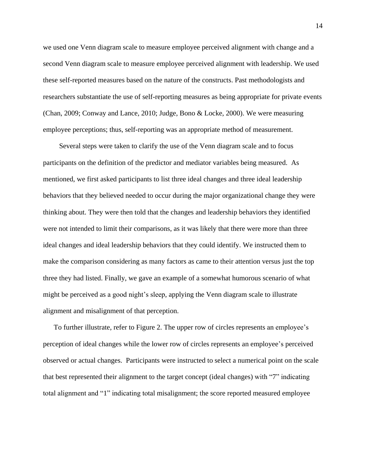we used one Venn diagram scale to measure employee perceived alignment with change and a second Venn diagram scale to measure employee perceived alignment with leadership. We used these self-reported measures based on the nature of the constructs. Past methodologists and researchers substantiate the use of self-reporting measures as being appropriate for private events (Chan, 2009; Conway and Lance, 2010; Judge, Bono & Locke, 2000). We were measuring employee perceptions; thus, self-reporting was an appropriate method of measurement.

Several steps were taken to clarify the use of the Venn diagram scale and to focus participants on the definition of the predictor and mediator variables being measured. As mentioned, we first asked participants to list three ideal changes and three ideal leadership behaviors that they believed needed to occur during the major organizational change they were thinking about. They were then told that the changes and leadership behaviors they identified were not intended to limit their comparisons, as it was likely that there were more than three ideal changes and ideal leadership behaviors that they could identify. We instructed them to make the comparison considering as many factors as came to their attention versus just the top three they had listed. Finally, we gave an example of a somewhat humorous scenario of what might be perceived as a good night's sleep, applying the Venn diagram scale to illustrate alignment and misalignment of that perception.

To further illustrate, refer to Figure 2. The upper row of circles represents an employee's perception of ideal changes while the lower row of circles represents an employee's perceived observed or actual changes. Participants were instructed to select a numerical point on the scale that best represented their alignment to the target concept (ideal changes) with "7" indicating total alignment and "1" indicating total misalignment; the score reported measured employee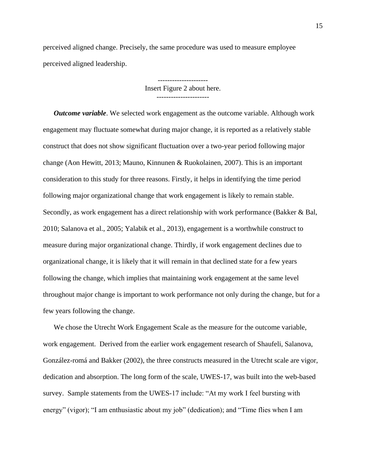perceived aligned change. Precisely, the same procedure was used to measure employee perceived aligned leadership.

> --------------------- Insert Figure 2 about here.

*Outcome variable*. We selected work engagement as the outcome variable. Although work engagement may fluctuate somewhat during major change, it is reported as a relatively stable construct that does not show significant fluctuation over a two-year period following major change (Aon Hewitt, 2013; Mauno, Kinnunen & Ruokolainen, 2007). This is an important consideration to this study for three reasons. Firstly, it helps in identifying the time period following major organizational change that work engagement is likely to remain stable. Secondly, as work engagement has a direct relationship with work performance (Bakker & Bal, 2010; Salanova et al., 2005; Yalabik et al., 2013), engagement is a worthwhile construct to measure during major organizational change. Thirdly, if work engagement declines due to organizational change, it is likely that it will remain in that declined state for a few years following the change, which implies that maintaining work engagement at the same level throughout major change is important to work performance not only during the change, but for a few years following the change.

We chose the Utrecht Work Engagement Scale as the measure for the outcome variable, work engagement. Derived from the earlier work engagement research of Shaufeli, Salanova, González-romá and Bakker (2002), the three constructs measured in the Utrecht scale are vigor, dedication and absorption. The long form of the scale, UWES-17, was built into the web-based survey. Sample statements from the UWES-17 include: "At my work I feel bursting with energy" (vigor); "I am enthusiastic about my job" (dedication); and "Time flies when I am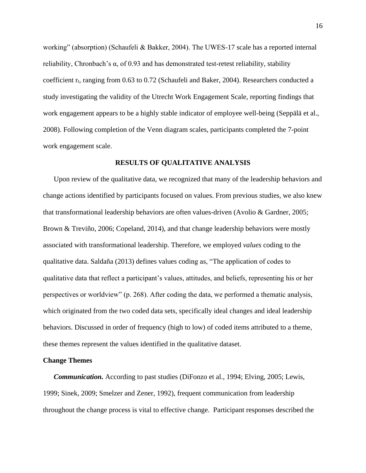working" (absorption) (Schaufeli & Bakker, 2004). The UWES-17 scale has a reported internal reliability, Chronbach's α, of 0.93 and has demonstrated test-retest reliability, stability coefficient r<sub>t</sub>, ranging from 0.63 to 0.72 (Schaufeli and Baker, 2004). Researchers conducted a study investigating the validity of the Utrecht Work Engagement Scale, reporting findings that work engagement appears to be a highly stable indicator of employee well-being (Seppälä et al., 2008). Following completion of the Venn diagram scales, participants completed the 7-point work engagement scale.

### **RESULTS OF QUALITATIVE ANALYSIS**

Upon review of the qualitative data, we recognized that many of the leadership behaviors and change actions identified by participants focused on values. From previous studies, we also knew that transformational leadership behaviors are often values-driven (Avolio & Gardner, 2005; Brown & Treviño, 2006; Copeland, 2014), and that change leadership behaviors were mostly associated with transformational leadership. Therefore, we employed *values* coding to the qualitative data. Saldaña (2013) defines values coding as, "The application of codes to qualitative data that reflect a participant's values, attitudes, and beliefs, representing his or her perspectives or worldview" (p. 268). After coding the data, we performed a thematic analysis, which originated from the two coded data sets, specifically ideal changes and ideal leadership behaviors. Discussed in order of frequency (high to low) of coded items attributed to a theme, these themes represent the values identified in the qualitative dataset.

# **Change Themes**

*Communication.* According to past studies (DiFonzo et al., 1994; Elving, 2005; Lewis, 1999; Sinek, 2009; Smelzer and Zener, 1992), frequent communication from leadership throughout the change process is vital to effective change. Participant responses described the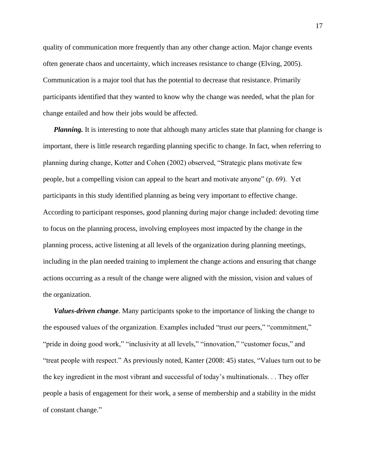quality of communication more frequently than any other change action. Major change events often generate chaos and uncertainty, which increases resistance to change (Elving, 2005). Communication is a major tool that has the potential to decrease that resistance. Primarily participants identified that they wanted to know why the change was needed, what the plan for change entailed and how their jobs would be affected.

*Planning*. It is interesting to note that although many articles state that planning for change is important, there is little research regarding planning specific to change. In fact, when referring to planning during change, Kotter and Cohen (2002) observed, "Strategic plans motivate few people, but a compelling vision can appeal to the heart and motivate anyone" (p. 69). Yet participants in this study identified planning as being very important to effective change. According to participant responses, good planning during major change included: devoting time to focus on the planning process, involving employees most impacted by the change in the planning process, active listening at all levels of the organization during planning meetings, including in the plan needed training to implement the change actions and ensuring that change actions occurring as a result of the change were aligned with the mission, vision and values of the organization.

*Values-driven change*. Many participants spoke to the importance of linking the change to the espoused values of the organization. Examples included "trust our peers," "commitment," "pride in doing good work," "inclusivity at all levels," "innovation," "customer focus," and "treat people with respect." As previously noted, Kanter (2008: 45) states, "Values turn out to be the key ingredient in the most vibrant and successful of today's multinationals. . . They offer people a basis of engagement for their work, a sense of membership and a stability in the midst of constant change."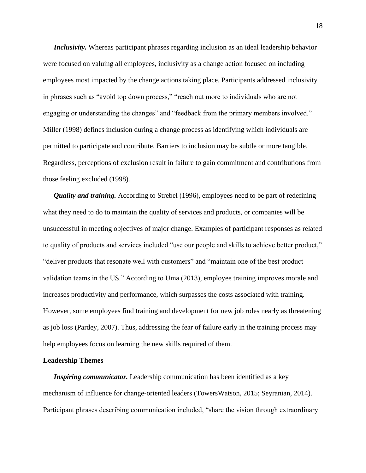*Inclusivity.* Whereas participant phrases regarding inclusion as an ideal leadership behavior were focused on valuing all employees, inclusivity as a change action focused on including employees most impacted by the change actions taking place. Participants addressed inclusivity in phrases such as "avoid top down process," "reach out more to individuals who are not engaging or understanding the changes" and "feedback from the primary members involved." Miller (1998) defines inclusion during a change process as identifying which individuals are permitted to participate and contribute. Barriers to inclusion may be subtle or more tangible. Regardless, perceptions of exclusion result in failure to gain commitment and contributions from those feeling excluded (1998).

*Quality and training.* According to Strebel (1996), employees need to be part of redefining what they need to do to maintain the quality of services and products, or companies will be unsuccessful in meeting objectives of major change. Examples of participant responses as related to quality of products and services included "use our people and skills to achieve better product," "deliver products that resonate well with customers" and "maintain one of the best product validation teams in the US." According to Uma (2013), employee training improves morale and increases productivity and performance, which surpasses the costs associated with training. However, some employees find training and development for new job roles nearly as threatening as job loss (Pardey, 2007). Thus, addressing the fear of failure early in the training process may help employees focus on learning the new skills required of them.

# **Leadership Themes**

*Inspiring communicator.* Leadership communication has been identified as a key mechanism of influence for change-oriented leaders (TowersWatson, 2015; Seyranian, 2014). Participant phrases describing communication included, "share the vision through extraordinary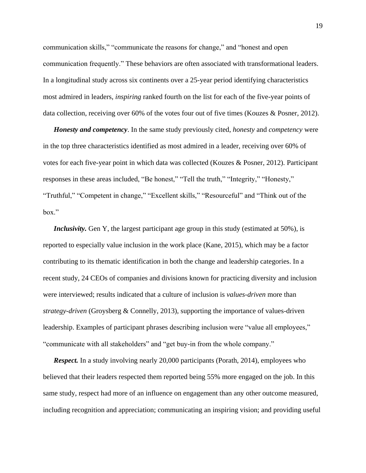communication skills," "communicate the reasons for change," and "honest and open communication frequently." These behaviors are often associated with transformational leaders. In a longitudinal study across six continents over a 25-year period identifying characteristics most admired in leaders, *inspiring* ranked fourth on the list for each of the five-year points of data collection, receiving over 60% of the votes four out of five times (Kouzes & Posner, 2012).

*Honesty and competency*. In the same study previously cited, *honesty* and *competency* were in the top three characteristics identified as most admired in a leader, receiving over 60% of votes for each five-year point in which data was collected (Kouzes & Posner, 2012). Participant responses in these areas included, "Be honest," "Tell the truth," "Integrity," "Honesty," "Truthful," "Competent in change," "Excellent skills," "Resourceful" and "Think out of the box."

*Inclusivity*. Gen Y, the largest participant age group in this study (estimated at 50%), is reported to especially value inclusion in the work place (Kane, 2015), which may be a factor contributing to its thematic identification in both the change and leadership categories. In a recent study, 24 CEOs of companies and divisions known for practicing diversity and inclusion were interviewed; results indicated that a culture of inclusion is *values-driven* more than *strategy-driven* (Groysberg & Connelly, 2013), supporting the importance of values-driven leadership. Examples of participant phrases describing inclusion were "value all employees," "communicate with all stakeholders" and "get buy-in from the whole company."

*Respect.* In a study involving nearly 20,000 participants (Porath, 2014), employees who believed that their leaders respected them reported being 55% more engaged on the job. In this same study, respect had more of an influence on engagement than any other outcome measured, including recognition and appreciation; communicating an inspiring vision; and providing useful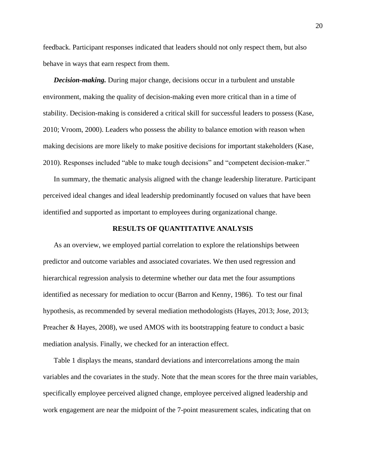feedback. Participant responses indicated that leaders should not only respect them, but also behave in ways that earn respect from them.

*Decision-making.* During major change, decisions occur in a turbulent and unstable environment, making the quality of decision-making even more critical than in a time of stability. Decision-making is considered a critical skill for successful leaders to possess (Kase, 2010; Vroom, 2000). Leaders who possess the ability to balance emotion with reason when making decisions are more likely to make positive decisions for important stakeholders (Kase, 2010). Responses included "able to make tough decisions" and "competent decision-maker."

In summary, the thematic analysis aligned with the change leadership literature. Participant perceived ideal changes and ideal leadership predominantly focused on values that have been identified and supported as important to employees during organizational change.

# **RESULTS OF QUANTITATIVE ANALYSIS**

As an overview, we employed partial correlation to explore the relationships between predictor and outcome variables and associated covariates. We then used regression and hierarchical regression analysis to determine whether our data met the four assumptions identified as necessary for mediation to occur (Barron and Kenny, 1986). To test our final hypothesis, as recommended by several mediation methodologists (Hayes, 2013; Jose, 2013; Preacher & Hayes, 2008), we used AMOS with its bootstrapping feature to conduct a basic mediation analysis. Finally, we checked for an interaction effect.

Table 1 displays the means, standard deviations and intercorrelations among the main variables and the covariates in the study. Note that the mean scores for the three main variables, specifically employee perceived aligned change, employee perceived aligned leadership and work engagement are near the midpoint of the 7-point measurement scales, indicating that on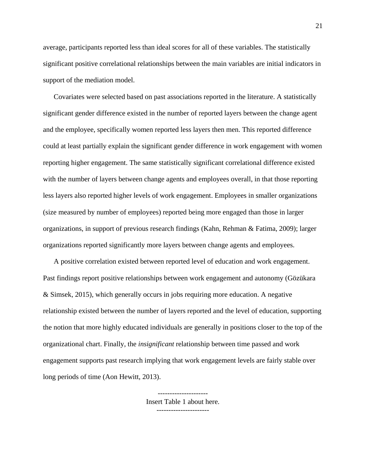average, participants reported less than ideal scores for all of these variables. The statistically significant positive correlational relationships between the main variables are initial indicators in support of the mediation model.

Covariates were selected based on past associations reported in the literature. A statistically significant gender difference existed in the number of reported layers between the change agent and the employee, specifically women reported less layers then men. This reported difference could at least partially explain the significant gender difference in work engagement with women reporting higher engagement. The same statistically significant correlational difference existed with the number of layers between change agents and employees overall, in that those reporting less layers also reported higher levels of work engagement. Employees in smaller organizations (size measured by number of employees) reported being more engaged than those in larger organizations, in support of previous research findings (Kahn, Rehman & Fatima, 2009); larger organizations reported significantly more layers between change agents and employees.

A positive correlation existed between reported level of education and work engagement. Past findings report positive relationships between work engagement and autonomy (Gözükara & Simsek, 2015), which generally occurs in jobs requiring more education. A negative relationship existed between the number of layers reported and the level of education, supporting the notion that more highly educated individuals are generally in positions closer to the top of the organizational chart. Finally, the *insignificant* relationship between time passed and work engagement supports past research implying that work engagement levels are fairly stable over long periods of time (Aon Hewitt, 2013).

> Insert Table 1 about here. ----------------------

---------------------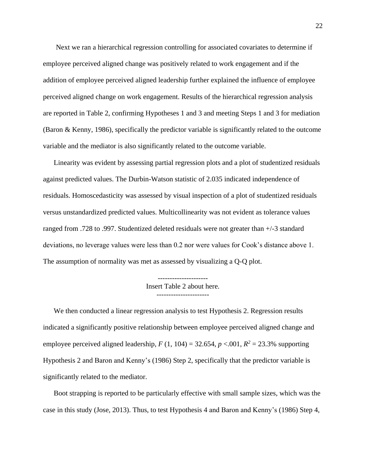Next we ran a hierarchical regression controlling for associated covariates to determine if employee perceived aligned change was positively related to work engagement and if the addition of employee perceived aligned leadership further explained the influence of employee perceived aligned change on work engagement. Results of the hierarchical regression analysis are reported in Table 2, confirming Hypotheses 1 and 3 and meeting Steps 1 and 3 for mediation (Baron & Kenny, 1986), specifically the predictor variable is significantly related to the outcome variable and the mediator is also significantly related to the outcome variable.

Linearity was evident by assessing partial regression plots and a plot of studentized residuals against predicted values. The Durbin-Watson statistic of 2.035 indicated independence of residuals. Homoscedasticity was assessed by visual inspection of a plot of studentized residuals versus unstandardized predicted values. Multicollinearity was not evident as tolerance values ranged from .728 to .997. Studentized deleted residuals were not greater than +/-3 standard deviations, no leverage values were less than 0.2 nor were values for Cook's distance above 1. The assumption of normality was met as assessed by visualizing a Q-Q plot.

> --------------------- Insert Table 2 about here. ----------------------

We then conducted a linear regression analysis to test Hypothesis 2. Regression results indicated a significantly positive relationship between employee perceived aligned change and employee perceived aligned leadership,  $F(1, 104) = 32.654$ ,  $p < .001$ ,  $R^2 = 23.3\%$  supporting Hypothesis 2 and Baron and Kenny's (1986) Step 2, specifically that the predictor variable is significantly related to the mediator.

Boot strapping is reported to be particularly effective with small sample sizes, which was the case in this study (Jose, 2013). Thus, to test Hypothesis 4 and Baron and Kenny's (1986) Step 4,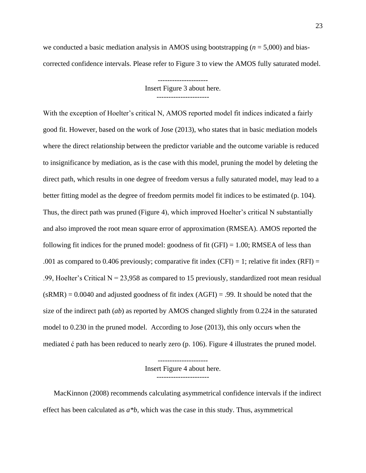we conducted a basic mediation analysis in AMOS using bootstrapping (*n* = 5,000) and biascorrected confidence intervals. Please refer to Figure 3 to view the AMOS fully saturated model.

> Insert Figure 3 about here. ----------------------

With the exception of Hoelter's critical N, AMOS reported model fit indices indicated a fairly good fit. However, based on the work of Jose (2013), who states that in basic mediation models where the direct relationship between the predictor variable and the outcome variable is reduced to insignificance by mediation, as is the case with this model, pruning the model by deleting the direct path, which results in one degree of freedom versus a fully saturated model, may lead to a better fitting model as the degree of freedom permits model fit indices to be estimated (p. 104). Thus, the direct path was pruned (Figure 4), which improved Hoelter's critical N substantially and also improved the root mean square error of approximation (RMSEA). AMOS reported the following fit indices for the pruned model: goodness of fit  $(GFI) = 1.00$ ; RMSEA of less than .001 as compared to 0.406 previously; comparative fit index (CFI) = 1; relative fit index (RFI) = .99, Hoelter's Critical  $N = 23,958$  as compared to 15 previously, standardized root mean residual  $(sRMR) = 0.0040$  and adjusted goodness of fit index  $(AGFI) = .99$ . It should be noted that the size of the indirect path (*ab*) as reported by AMOS changed slightly from 0.224 in the saturated model to 0.230 in the pruned model. According to Jose (2013), this only occurs when the mediated ć path has been reduced to nearly zero (p. 106). Figure 4 illustrates the pruned model.

> --------------------- Insert Figure 4 about here. ----------------------

MacKinnon (2008) recommends calculating asymmetrical confidence intervals if the indirect effect has been calculated as *a\*b,* which was the case in this study. Thus, asymmetrical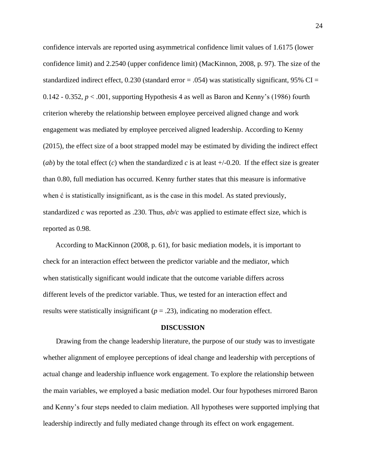confidence intervals are reported using asymmetrical confidence limit values of 1.6175 (lower confidence limit) and 2.2540 (upper confidence limit) (MacKinnon, 2008, p. 97). The size of the standardized indirect effect,  $0.230$  (standard error = .054) was statistically significant, 95% CI = 0.142 - 0.352, *p* < .001, supporting Hypothesis 4 as well as Baron and Kenny's (1986) fourth criterion whereby the relationship between employee perceived aligned change and work engagement was mediated by employee perceived aligned leadership. According to Kenny (2015), the effect size of a boot strapped model may be estimated by dividing the indirect effect (*ab*) by the total effect (*c*) when the standardized *c* is at least  $+/-0.20$ . If the effect size is greater than 0.80, full mediation has occurred. Kenny further states that this measure is informative when ć is statistically insignificant, as is the case in this model. As stated previously, standardized *c* was reported as .230. Thus, *ab/c* was applied to estimate effect size, which is reported as 0.98.

According to MacKinnon (2008, p. 61), for basic mediation models, it is important to check for an interaction effect between the predictor variable and the mediator, which when statistically significant would indicate that the outcome variable differs across different levels of the predictor variable. Thus, we tested for an interaction effect and results were statistically insignificant  $(p = .23)$ , indicating no moderation effect.

## **DISCUSSION**

Drawing from the change leadership literature, the purpose of our study was to investigate whether alignment of employee perceptions of ideal change and leadership with perceptions of actual change and leadership influence work engagement. To explore the relationship between the main variables, we employed a basic mediation model. Our four hypotheses mirrored Baron and Kenny's four steps needed to claim mediation. All hypotheses were supported implying that leadership indirectly and fully mediated change through its effect on work engagement.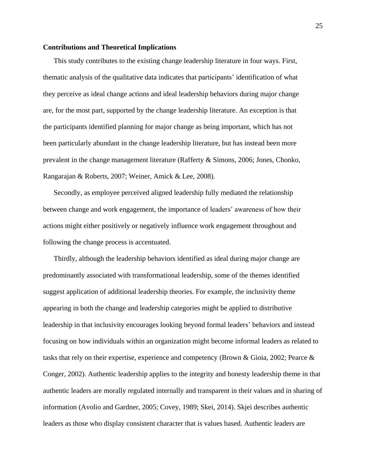# **Contributions and Theoretical Implications**

This study contributes to the existing change leadership literature in four ways. First, thematic analysis of the qualitative data indicates that participants' identification of what they perceive as ideal change actions and ideal leadership behaviors during major change are, for the most part, supported by the change leadership literature. An exception is that the participants identified planning for major change as being important, which has not been particularly abundant in the change leadership literature, but has instead been more prevalent in the change management literature (Rafferty & Simons, 2006; Jones, Chonko, Rangarajan & Roberts, 2007; Weiner, Amick & Lee, 2008).

Secondly, as employee perceived aligned leadership fully mediated the relationship between change and work engagement, the importance of leaders' awareness of how their actions might either positively or negatively influence work engagement throughout and following the change process is accentuated.

Thirdly, although the leadership behaviors identified as ideal during major change are predominantly associated with transformational leadership, some of the themes identified suggest application of additional leadership theories. For example, the inclusivity theme appearing in both the change and leadership categories might be applied to distributive leadership in that inclusivity encourages looking beyond formal leaders' behaviors and instead focusing on how individuals within an organization might become informal leaders as related to tasks that rely on their expertise, experience and competency (Brown & Gioia, 2002; Pearce & Conger, 2002). Authentic leadership applies to the integrity and honesty leadership theme in that authentic leaders are morally regulated internally and transparent in their values and in sharing of information (Avolio and Gardner, 2005; Covey, 1989; Skei, 2014). Skjei describes authentic leaders as those who display consistent character that is values based. Authentic leaders are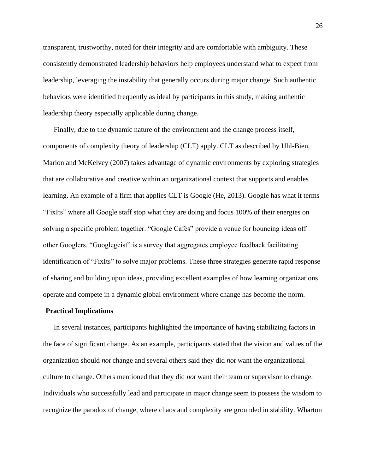transparent, trustworthy, noted for their integrity and are comfortable with ambiguity. These consistently demonstrated leadership behaviors help employees understand what to expect from leadership, leveraging the instability that generally occurs during major change. Such authentic behaviors were identified frequently as ideal by participants in this study, making authentic leadership theory especially applicable during change.

Finally, due to the dynamic nature of the environment and the change process itself, components of complexity theory of leadership (CLT) apply. CLT as described by Uhl-Bien, Marion and McKelvey (2007) takes advantage of dynamic environments by exploring strategies that are collaborative and creative within an organizational context that supports and enables learning. An example of a firm that applies CLT is Google (He, 2013). Google has what it terms "FixIts" where all Google staff stop what they are doing and focus 100% of their energies on solving a specific problem together. "Google Cafés" provide a venue for bouncing ideas off other Googlers. "Googlegeist" is a survey that aggregates employee feedback facilitating identification of "FixIts" to solve major problems. These three strategies generate rapid response of sharing and building upon ideas, providing excellent examples of how learning organizations operate and compete in a dynamic global environment where change has become the norm.

#### **Practical Implications**

In several instances, participants highlighted the importance of having stabilizing factors in the face of significant change. As an example, participants stated that the vision and values of the organization should *not* change and several others said they did *not* want the organizational culture to change. Others mentioned that they did *not* want their team or supervisor to change. Individuals who successfully lead and participate in major change seem to possess the wisdom to recognize the paradox of change, where chaos and complexity are grounded in stability. Wharton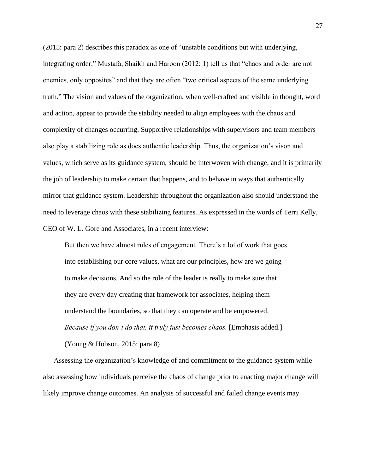(2015: para 2) describes this paradox as one of "unstable conditions but with underlying, integrating order." Mustafa, Shaikh and Haroon (2012: 1) tell us that "chaos and order are not enemies, only opposites" and that they are often "two critical aspects of the same underlying truth." The vision and values of the organization, when well-crafted and visible in thought, word and action, appear to provide the stability needed to align employees with the chaos and complexity of changes occurring. Supportive relationships with supervisors and team members also play a stabilizing role as does authentic leadership. Thus, the organization's vison and values, which serve as its guidance system, should be interwoven with change, and it is primarily the job of leadership to make certain that happens, and to behave in ways that authentically mirror that guidance system. Leadership throughout the organization also should understand the need to leverage chaos with these stabilizing features. As expressed in the words of Terri Kelly, CEO of W. L. Gore and Associates, in a recent interview:

But then we have almost rules of engagement. There's a lot of work that goes into establishing our core values, what are our principles, how are we going to make decisions. And so the role of the leader is really to make sure that they are every day creating that framework for associates, helping them understand the boundaries, so that they can operate and be empowered. *Because if you don't do that, it truly just becomes chaos.* [Emphasis added.] (Young & Hobson, 2015: para 8)

Assessing the organization's knowledge of and commitment to the guidance system while also assessing how individuals perceive the chaos of change prior to enacting major change will likely improve change outcomes. An analysis of successful and failed change events may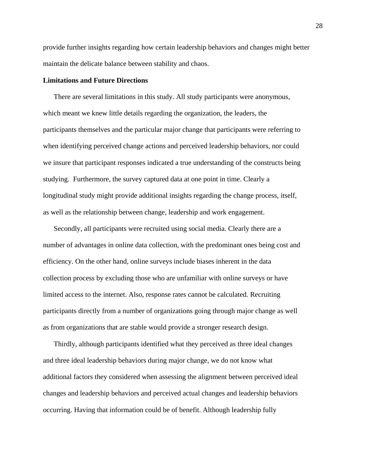provide further insights regarding how certain leadership behaviors and changes might better maintain the delicate balance between stability and chaos.

# **Limitations and Future Directions**

There are several limitations in this study. All study participants were anonymous, which meant we knew little details regarding the organization, the leaders, the participants themselves and the particular major change that participants were referring to when identifying perceived change actions and perceived leadership behaviors, nor could we insure that participant responses indicated a true understanding of the constructs being studying. Furthermore, the survey captured data at one point in time. Clearly a longitudinal study might provide additional insights regarding the change process, itself, as well as the relationship between change, leadership and work engagement.

Secondly, all participants were recruited using social media. Clearly there are a number of advantages in online data collection, with the predominant ones being cost and efficiency. On the other hand, online surveys include biases inherent in the data collection process by excluding those who are unfamiliar with online surveys or have limited access to the internet. Also, response rates cannot be calculated. Recruiting participants directly from a number of organizations going through major change as well as from organizations that are stable would provide a stronger research design.

Thirdly, although participants identified what they perceived as three ideal changes and three ideal leadership behaviors during major change, we do not know what additional factors they considered when assessing the alignment between perceived ideal changes and leadership behaviors and perceived actual changes and leadership behaviors occurring. Having that information could be of benefit. Although leadership fully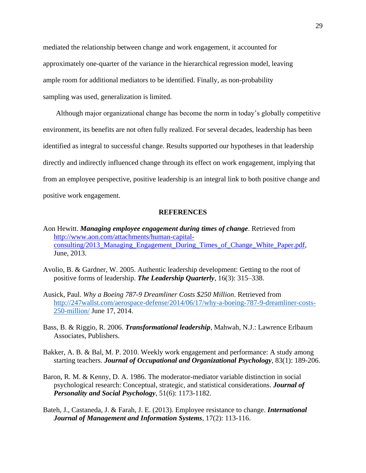mediated the relationship between change and work engagement, it accounted for approximately one-quarter of the variance in the hierarchical regression model, leaving ample room for additional mediators to be identified. Finally, as non-probability sampling was used, generalization is limited.

Although major organizational change has become the norm in today's globally competitive environment, its benefits are not often fully realized. For several decades, leadership has been identified as integral to successful change. Results supported our hypotheses in that leadership directly and indirectly influenced change through its effect on work engagement, implying that from an employee perspective, positive leadership is an integral link to both positive change and positive work engagement.

#### **REFERENCES**

- Aon Hewitt. *Managing employee engagement during times of change*. Retrieved from [http://www.aon.com/attachments/human-capital](http://www.aon.com/attachments/human-capital-consulting/2013_Managing_Engagement_During_Times_of_Change_White_Paper.pdf)consulting/2013 Managing Engagement During Times of Change White Paper.pdf, June, 2013.
- Avolio, B. & Gardner, W. 2005. Authentic leadership development: Getting to the root of positive forms of leadership. *The Leadership Quarterly*, 16(3): 315–338.
- Ausick, Paul. *Why a Boeing 787-9 Dreamliner Costs \$250 Million*. Retrieved from [http://247wallst.com/aerospace-defense/2014/06/17/why-a-boeing-787-9-dreamliner-costs-](http://247wallst.com/aerospace-defense/2014/06/17/why-a-boeing-787-9-dreamliner-costs-250-million/)[250-million/](http://247wallst.com/aerospace-defense/2014/06/17/why-a-boeing-787-9-dreamliner-costs-250-million/) June 17, 2014.
- Bass, B. & Riggio, R. 2006. *Transformational leadership*, Mahwah, N.J.: Lawrence Erlbaum Associates, Publishers.
- Bakker, A. B. & Bal, M. P. 2010. Weekly work engagement and performance: A study among starting teachers. *Journal of Occupational and Organizational Psychology*, 83(1): 189-206.
- Baron, R. M. & Kenny, D. A. 1986. The moderator-mediator variable distinction in social psychological research: Conceptual, strategic, and statistical considerations. *Journal of Personality and Social Psychology*, 51(6): 1173-1182.
- Bateh, J., Castaneda, J. & Farah, J. E. (2013). Employee resistance to change. *International Journal of Management and Information Systems*, 17(2): 113-116.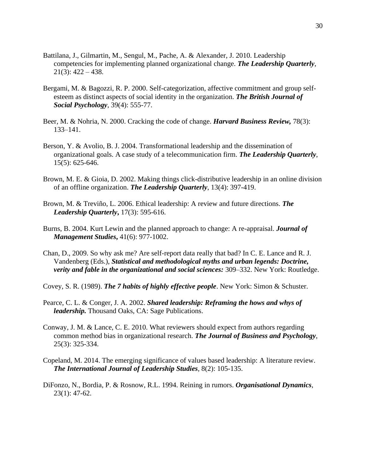- Battilana, J., Gilmartin, M., Sengul, M., Pache, A. & Alexander, J. 2010. Leadership competencies for implementing planned organizational change. *The Leadership Quarterly*,  $21(3): 422 - 438.$
- Bergami, M. & Bagozzi, R. P. 2000. Self-categorization, affective commitment and group selfesteem as distinct aspects of social identity in the organization. *The British Journal of Social Psychology*, 39(4): 555-77.
- Beer, M. & Nohria, N. 2000. Cracking the code of change. *Harvard Business Review,* 78(3): 133–141.
- Berson, Y. & Avolio, B. J. 2004. Transformational leadership and the dissemination of organizational goals. A case study of a telecommunication firm. *The Leadership Quarterly*, 15(5): 625-646.
- Brown, M. E. & Gioia, D. 2002. Making things click-distributive leadership in an online division of an offline organization. *The Leadership Quarterly*, 13(4): 397-419.
- Brown, M. & Treviño, L. 2006. Ethical leadership: A review and future directions. *The Leadership Quarterly***,** 17(3): 595-616.
- Burns, B. 2004. Kurt Lewin and the planned approach to change: A re-appraisal. *Journal of Management Studies***,** 41(6): 977-1002.
- Chan, D., 2009. So why ask me? Are self-report data really that bad? In C. E. Lance and R. J. Vandenberg (Eds.), *Statistical and methodological myths and urban legends: Doctrine, verity and fable in the organizational and social sciences:* 309–332. New York: Routledge.
- Covey, S. R. (1989). *The 7 habits of highly effective people*. New York: Simon & Schuster.
- Pearce, C. L. & Conger, J. A. 2002. *Shared leadership: Reframing the hows and whys of leadership.* Thousand Oaks, CA: Sage Publications.
- Conway, J. M. & Lance, C. E. 2010. What reviewers should expect from authors regarding common method bias in organizational research. *The Journal of Business and Psychology*, 25(3): 325-334.
- Copeland, M. 2014. The emerging significance of values based leadership: A literature review. *The International Journal of Leadership Studies*, 8(2): 105-135.
- DiFonzo, N., Bordia, P. & Rosnow, R.L. 1994. Reining in rumors. *Organisational Dynamics*, 23(1): 47-62.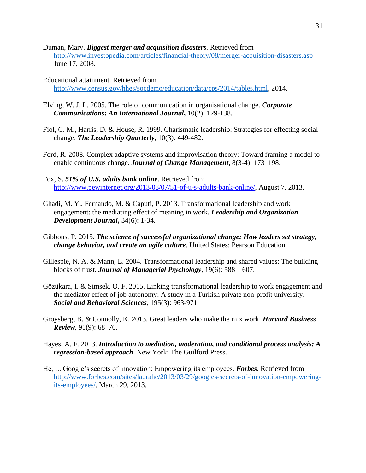- Duman, Marv. *Biggest merger and acquisition disasters.* Retrieved from <http://www.investopedia.com/articles/financial-theory/08/merger-acquisition-disasters.asp> June 17, 2008.
- Educational attainment. Retrieved from [http://www.census.gov/hhes/socdemo/education/data/cps/2014/tables.html,](http://www.census.gov/hhes/socdemo/education/data/cps/2014/tables.html) 2014.
- Elving, W. J. L. 2005. The role of communication in organisational change. *Corporate Communications***:** *An International Journal***,** 10(2): 129-138.
- Fiol, C. M., Harris, D. & House, R. 1999. Charismatic leadership: Strategies for effecting social change. *The Leadership Quarterly*, 10(3): 449-482.
- Ford, R. 2008. Complex adaptive systems and improvisation theory: Toward framing a model to enable continuous change. *Journal of Change Management*, 8(3-4): 173–198.
- Fox, S. *51% of U.S. adults bank online*. Retrieved from [http://www.pewinternet.org/2013/08/07/51-of-u-s-adults-bank-online/,](http://www.pewinternet.org/2013/08/07/51-of-u-s-adults-bank-online/) August 7, 2013.
- Ghadi, M. Y., Fernando, M. & Caputi, P. 2013. Transformational leadership and work engagement: the mediating effect of meaning in work. *Leadership and Organization Development Journal***,** 34(6): 1-34.
- Gibbons, P. 2015. *The science of successful organizational change: How leaders set strategy, change behavior, and create an agile culture.* United States: Pearson Education.
- Gillespie, N. A. & Mann, L. 2004. Transformational leadership and shared values: The building blocks of trust. *Journal of Managerial Psychology,* 19(6): 588 – 607.
- Gözükara, I. & Simsek, O. F. 2015. Linking transformational leadership to work engagement and the mediator effect of job autonomy: A study in a Turkish private non-profit university. *Social and Behavioral Sciences*, 195(3): 963-971.
- Groysberg, B. & Connolly, K. 2013. Great leaders who make the mix work. *Harvard Business Review*, 91(9): 68–76.
- Hayes, A. F. 2013. *Introduction to mediation, moderation, and conditional process analysis: A regression-based approach*. New York: The Guilford Press.
- He, L. Google's secrets of innovation: Empowering its employees. *Forbes.* Retrieved from [http://www.forbes.com/sites/laurahe/2013/03/29/googles-secrets-of-innovation-empowering](http://www.forbes.com/sites/laurahe/2013/03/29/googles-secrets-of-innovation-empowering-its-employees/)[its-employees/,](http://www.forbes.com/sites/laurahe/2013/03/29/googles-secrets-of-innovation-empowering-its-employees/) March 29, 2013.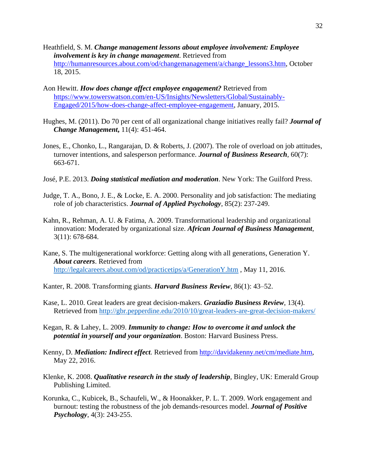- Heathfield, S. M. *Change management lessons about employee involvement: Employee involvement is key in change management*. Retrieved from [http://humanresources.about.com/od/changemanagement/a/change\\_lessons3.htm,](http://humanresources.about.com/od/changemanagement/a/change_lessons3.htm) October 18, 2015.
- Aon Hewitt. *How does change affect employee engagement?* Retrieved from [https://www.towerswatson.com/en-US/Insights/Newsletters/Global/Sustainably-](https://www.towerswatson.com/en-US/Insights/Newsletters/Global/Sustainably-Engaged/2015/how-does-change-affect-employee-engagement)[Engaged/2015/how-does-change-affect-employee-engagement,](https://www.towerswatson.com/en-US/Insights/Newsletters/Global/Sustainably-Engaged/2015/how-does-change-affect-employee-engagement) January, 2015.
- Hughes, M. (2011). Do 70 per cent of all organizational change initiatives really fail? *Journal of Change Management***,** 11(4): 451-464.
- Jones, E., Chonko, L., Rangarajan, D. & Roberts, J. (2007). The role of overload on job attitudes, turnover intentions, and salesperson performance. *Journal of Business Research*, 60(7): 663-671.
- José, P.E. 2013. *Doing statistical mediation and moderation*. New York: The Guilford Press.
- Judge, T. A., Bono, J. E., & Locke, E. A. 2000. Personality and job satisfaction: The mediating role of job characteristics. *Journal of Applied Psychology*, 85(2): 237-249.
- Kahn, R., Rehman, A. U. & Fatima, A. 2009. Transformational leadership and organizational innovation: Moderated by organizational size. *African Journal of Business Management*, 3(11): 678-684.
- Kane, S. The multigenerational workforce: Getting along with all generations, Generation Y. *About careers*. Retrieved from <http://legalcareers.about.com/od/practicetips/a/GenerationY.htm> , May 11, 2016.
- Kanter, R. 2008. Transforming giants. *Harvard Business Review*, 86(1): 43–52.
- Kase, L. 2010. Great leaders are great decision-makers. *Graziadio Business Review*, 13(4). Retrieved from<http://gbr.pepperdine.edu/2010/10/great-leaders-are-great-decision-makers/>
- Kegan, R. & Lahey, L. 2009. *Immunity to change: How to overcome it and unlock the potential in yourself and your organization*. Boston: Harvard Business Press.
- Kenny, D. *Mediation: Indirect effect.* Retrieved from [http://davidakenny.net/cm/mediate.htm,](http://davidakenny.net/cm/mediate.htm) May 22, 2016.
- Klenke, K. 2008. *Qualitative research in the study of leadership,* Bingley, UK: Emerald Group Publishing Limited.
- Korunka, C., Kubicek, B., Schaufeli, W., & Hoonakker, P. L. T. 2009. Work engagement and burnout: testing the robustness of the job demands-resources model. *Journal of Positive Psychology*, 4(3): 243-255.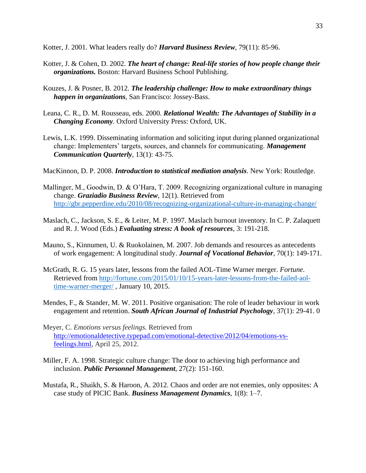Kotter, J. 2001. What leaders really do? *Harvard Business Review*, 79(11): 85-96.

- Kotter, J. & Cohen, D. 2002. *The heart of change: Real-life stories of how people change their organizations.* Boston: Harvard Business School Publishing.
- Kouzes, J. & Posner, B. 2012. *The leadership challenge: How to make extraordinary things happen in organizations,* San Francisco: Jossey-Bass.
- Leana, C. R., D. M. Rousseau, eds. 2000. *Relational Wealth: The Advantages of Stability in a Changing Economy.* Oxford University Press: Oxford, UK.
- Lewis, L.K. 1999. Disseminating information and soliciting input during planned organizational change: Implementers' targets, sources, and channels for communicating. *Management Communication Quarterly*, 13(1): 43-75.

MacKinnon, D. P. 2008. *Introduction to statistical mediation analysis*. New York: Routledge.

- Mallinger, M., Goodwin, D. & O'Hara, T. 2009. Recognizing organizational culture in managing change. *Graziadio Business Review*, 12(1). Retrieved from <http://gbr.pepperdine.edu/2010/08/recognizing-organizational-culture-in-managing-change/>
- Maslach, C., Jackson, S. E., & Leiter, M. P. 1997. Maslach burnout inventory. In C. P. Zalaquett and R. J. Wood (Eds.) *Evaluating stress: A book of resources*, 3: 191-218.
- Mauno, S., Kinnumen, U. & Ruokolainen, M. 2007. Job demands and resources as antecedents of work engagement: A longitudinal study. *Journal of Vocational Behavior*, 70(1): 149-171.
- McGrath, R. G. 15 years later, lessons from the failed AOL-Time Warner merger. *Fortune.*  Retrieved from [http://fortune.com/2015/01/10/15-years-later-lessons-from-the-failed-aol](http://fortune.com/2015/01/10/15-years-later-lessons-from-the-failed-aol-time-warner-merger/)[time-warner-merger/](http://fortune.com/2015/01/10/15-years-later-lessons-from-the-failed-aol-time-warner-merger/) , January 10, 2015.
- Mendes, F., & Stander, M. W. 2011. Positive organisation: The role of leader behaviour in work engagement and retention. *South African Journal of Industrial Psychology*, 37(1): 29-41. 0
- Meyer, C. *Emotions versus feelings.* Retrieved from [http://emotionaldetective.typepad.com/emotional-detective/2012/04/emotions-vs](http://emotionaldetective.typepad.com/emotional-detective/2012/04/emotions-vs-feelings.html)[feelings.html,](http://emotionaldetective.typepad.com/emotional-detective/2012/04/emotions-vs-feelings.html) April 25, 2012.
- Miller, F. A. 1998. Strategic culture change: The door to achieving high performance and inclusion. *Public Personnel Management*, 27(2): 151-160.
- Mustafa, R., Shaikh, S. & Haroon, A. 2012. Chaos and order are not enemies, only opposites: A case study of PICIC Bank. *Business Management Dynamics*, 1(8): 1–7.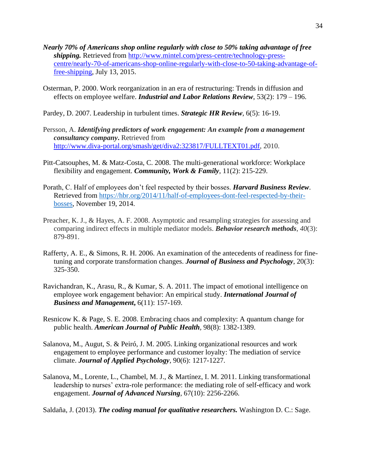- *Nearly 70% of Americans shop online regularly with close to 50% taking advantage of free shipping.* Retrieved from [http://www.mintel.com/press-centre/technology-press](http://www.mintel.com/press-centre/technology-press-centre/nearly-70-of-americans-shop-online-regularly-with-close-to-50-taking-advantage-of-free-shipping)[centre/nearly-70-of-americans-shop-online-regularly-with-close-to-50-taking-advantage-of](http://www.mintel.com/press-centre/technology-press-centre/nearly-70-of-americans-shop-online-regularly-with-close-to-50-taking-advantage-of-free-shipping)[free-shipping,](http://www.mintel.com/press-centre/technology-press-centre/nearly-70-of-americans-shop-online-regularly-with-close-to-50-taking-advantage-of-free-shipping) July 13, 2015.
- Osterman, P. 2000. Work reorganization in an era of restructuring: Trends in diffusion and effects on employee welfare. *Industrial and Labor Relations Review*, 53(2): 179 – 196.
- Pardey, D. 2007. Leadership in turbulent times. *Strategic HR Review*, 6(5): 16-19.
- Persson, A. *Identifying predictors of work engagement: An example from a management consultancy company***.** Retrieved from [http://www.diva-portal.org/smash/get/diva2:323817/FULLTEXT01.pdf,](http://www.diva-portal.org/smash/get/diva2:323817/FULLTEXT01.pdf) 2010.
- Pitt-Catsouphes, M. & Matz-Costa, C. 2008. The multi-generational workforce: Workplace flexibility and engagement. *Community, Work & Family*, 11(2): 215-229.
- Porath, C. Half of employees don't feel respected by their bosses. *Harvard Business Review*. Retrieved from [https://hbr.org/2014/11/half-of-employees-dont-feel-respected-by-their](https://hbr.org/2014/11/half-of-employees-dont-feel-respected-by-their-bosses)[bosses,](https://hbr.org/2014/11/half-of-employees-dont-feel-respected-by-their-bosses) November 19, 2014.
- Preacher, K. J., & Hayes, A. F. 2008. Asymptotic and resampling strategies for assessing and comparing indirect effects in multiple mediator models. *Behavior research methods*, *40*(3): 879-891.
- Rafferty, A. E., & Simons, R. H. 2006. An examination of the antecedents of readiness for finetuning and corporate transformation changes. *Journal of Business and Psychology*, 20(3): 325-350.
- Ravichandran, K., Arasu, R., & Kumar, S. A. 2011. The impact of emotional intelligence on employee work engagement behavior: An empirical study. *International Journal of Business and Management***,** 6(11): 157-169.
- Resnicow K. & Page, S. E. 2008. Embracing chaos and complexity: A quantum change for public health. *American Journal of Public Health,* 98(8): 1382-1389.
- Salanova, M., Augut, S. & Peiró, J. M. 2005. Linking organizational resources and work engagement to employee performance and customer loyalty: The mediation of service climate. *Journal of Applied Psychology*, 90(6): 1217-1227.
- Salanova, M., Lorente, L., Chambel, M. J., & Martínez, I. M. 2011. Linking transformational leadership to nurses' extra-role performance: the mediating role of self-efficacy and work engagement. *Journal of Advanced Nursing*, 67(10): 2256-2266.

Saldaña, J. (2013). *The coding manual for qualitative researchers.* Washington D. C.: Sage.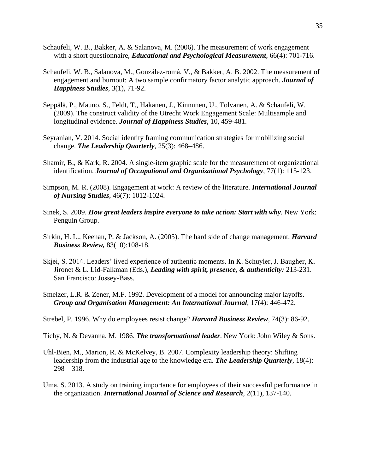- Schaufeli, W. B., Bakker, A. & Salanova, M. (2006). The measurement of work engagement with a short questionnaire, *Educational and Psychological Measurement*, 66(4): 701-716.
- Schaufeli, W. B., Salanova, M., González-romá, V., & Bakker, A. B. 2002. The measurement of engagement and burnout: A two sample confirmatory factor analytic approach. *Journal of Happiness Studies*, 3(1), 71-92.
- Seppälä, P., Mauno, S., Feldt, T., Hakanen, J., Kinnunen, U., Tolvanen, A. & Schaufeli, W. (2009). The construct validity of the Utrecht Work Engagement Scale: Multisample and longitudinal evidence. *Journal of Happiness Studies*, 10, 459-481.
- Seyranian, V. 2014. Social identity framing communication strategies for mobilizing social change. *The Leadership Quarterly*, 25(3): 468–486.
- Shamir, B., & Kark, R. 2004. A single-item graphic scale for the measurement of organizational identification. *Journal of Occupational and Organizational Psychology*, 77(1): 115-123.
- Simpson, M. R. (2008). Engagement at work: A review of the literature. *International Journal of Nursing Studies*, 46(7): 1012-1024.
- Sinek, S. 2009. *How great leaders inspire everyone to take action: Start with why.* New York: Penguin Group.
- Sirkin, H. L., Keenan, P. & Jackson, A. (2005). The hard side of change management. *Harvard Business Review,* 83(10):108-18.
- Skjei, S. 2014. Leaders' lived experience of authentic moments. In K. Schuyler, J. Baugher, K. Jironet & L. Lid-Falkman (Eds.), *Leading with spirit, presence, & authenticity:* 213-231. San Francisco: Jossey-Bass.
- Smelzer, L.R. & Zener, M.F. 1992. Development of a model for announcing major layoffs. *Group and Organisation Management: An International Journal*, 17(4): 446-472.
- Strebel, P. 1996. Why do employees resist change? *Harvard Business Review*, 74(3): 86-92.
- Tichy, N. & Devanna, M. 1986. *The transformational leader*. New York: John Wiley & Sons.
- Uhl-Bien, M., Marion, R. & McKelvey, B. 2007. Complexity leadership theory: Shifting leadership from the industrial age to the knowledge era. *The Leadership Quarterly*, 18(4):  $298 - 318.$
- Uma, S. 2013. A study on training importance for employees of their successful performance in the organization. *International Journal of Science and Research*, 2(11), 137-140.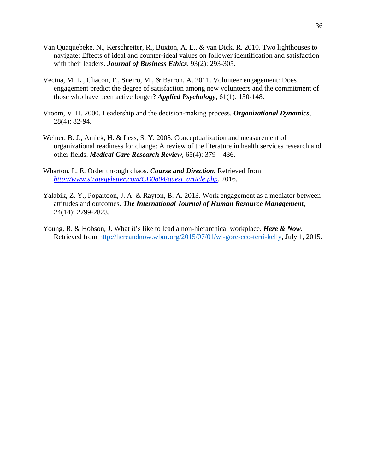- Van Quaquebeke, N., Kerschreiter, R., Buxton, A. E., & van Dick, R. 2010. Two lighthouses to navigate: Effects of ideal and counter-ideal values on follower identification and satisfaction with their leaders. *Journal of Business Ethics*, 93(2): 293-305.
- Vecina, M. L., Chacon, F., Sueiro, M., & Barron, A. 2011. Volunteer engagement: Does engagement predict the degree of satisfaction among new volunteers and the commitment of those who have been active longer? *Applied Psychology*, 61(1): 130-148.
- Vroom, V. H. 2000. Leadership and the decision-making process. *Organizational Dynamics*, 28(4): 82-94.
- Weiner, B. J., Amick, H. & Less, S. Y. 2008. Conceptualization and measurement of organizational readiness for change: A review of the literature in health services research and other fields. *Medical Care Research Review*, 65(4): 379 – 436.
- Wharton, L. E. Order through chaos. *Course and Direction.* Retrieved from *[http://www.strategyletter.com/CD0804/guest\\_article.php,](http://www.strategyletter.com/CD0804/guest_article.php)* 2016.
- Yalabik, Z. Y., Popaitoon, J. A. & Rayton, B. A. 2013. Work engagement as a mediator between attitudes and outcomes. *The International Journal of Human Resource Management*, 24(14): 2799-2823.
- Young, R. & Hobson, J. What it's like to lead a non-hierarchical workplace. *Here & Now*. Retrieved from [http://hereandnow.wbur.org/2015/07/01/wl-gore-ceo-terri-kelly,](http://hereandnow.wbur.org/2015/07/01/wl-gore-ceo-terri-kelly) July 1, 2015.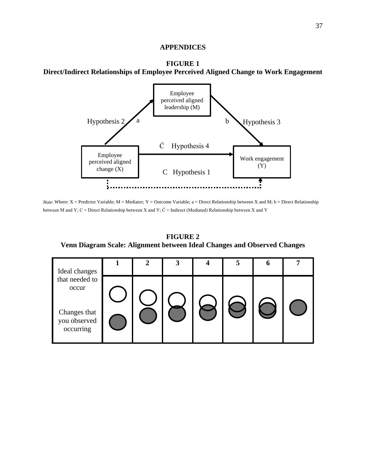# **APPENDICES**





*Note*: Where: X = Predictor Variable; M = Mediator; Y = Outcome Variable; a = Direct Relationship between X and M; b = Direct Relationship between M and Y; C = Direct Relationship between X and Y;  $\acute{C}$  = Indirect (Mediated) Relationship between X and Y

# **FIGURE 2 Venn Diagram Scale: Alignment between Ideal Changes and Observed Changes**

| Ideal changes                                                        | ◠ |  | 5 | O |  |
|----------------------------------------------------------------------|---|--|---|---|--|
| that needed to<br>occur<br>Changes that<br>you observed<br>occurring |   |  |   |   |  |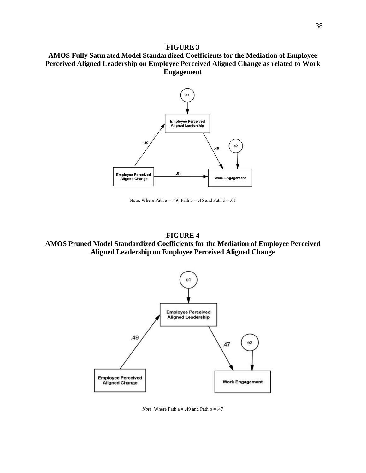## **FIGURE 3**

**AMOS Fully Saturated Model Standardized Coefficients for the Mediation of Employee Perceived Aligned Leadership on Employee Perceived Aligned Change as related to Work Engagement**



Note: Where Path  $a = .49$ ; Path  $b = .46$  and Path  $\acute{c} = .01$ 

**FIGURE 4 AMOS Pruned Model Standardized Coefficients for the Mediation of Employee Perceived Aligned Leadership on Employee Perceived Aligned Change**



*Note*: Where Path  $a = .49$  and Path  $b = .47$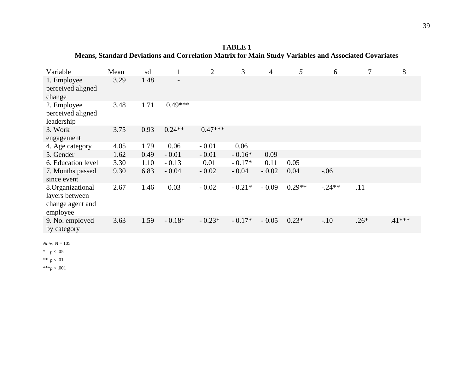**TABLE 1 Means, Standard Deviations and Correlation Matrix for Main Study Variables and Associated Covariates**

| Variable                                                           | Mean | sd   |                          | $\overline{2}$ | 3        | $\overline{4}$ | 5        | 6        | 7      | 8        |
|--------------------------------------------------------------------|------|------|--------------------------|----------------|----------|----------------|----------|----------|--------|----------|
| 1. Employee<br>perceived aligned<br>change                         | 3.29 | 1.48 | $\overline{\phantom{a}}$ |                |          |                |          |          |        |          |
| 2. Employee<br>perceived aligned<br>leadership                     | 3.48 | 1.71 | $0.49***$                |                |          |                |          |          |        |          |
| 3. Work<br>engagement                                              | 3.75 | 0.93 | $0.24**$                 | $0.47***$      |          |                |          |          |        |          |
| 4. Age category                                                    | 4.05 | 1.79 | 0.06                     | $-0.01$        | 0.06     |                |          |          |        |          |
| 5. Gender                                                          | 1.62 | 0.49 | $-0.01$                  | $-0.01$        | $-0.16*$ | 0.09           |          |          |        |          |
| 6. Education level                                                 | 3.30 | 1.10 | $-0.13$                  | 0.01           | $-0.17*$ | 0.11           | 0.05     |          |        |          |
| 7. Months passed<br>since event                                    | 9.30 | 6.83 | $-0.04$                  | $-0.02$        | $-0.04$  | $-0.02$        | 0.04     | $-.06$   |        |          |
| 8.Organizational<br>layers between<br>change agent and<br>employee | 2.67 | 1.46 | 0.03                     | $-0.02$        | $-0.21*$ | $-0.09$        | $0.29**$ | $-.24**$ | .11    |          |
| 9. No. employed<br>by category                                     | 3.63 | 1.59 | $-0.18*$                 | $-0.23*$       | $-0.17*$ | $-0.05$        | $0.23*$  | $-.10$   | $.26*$ | $.41***$ |
|                                                                    |      |      |                          |                |          |                |          |          |        |          |

*Note:* N = 105

\* *p* < .05

\*\* *p* < .01

\*\*\**p* < .001